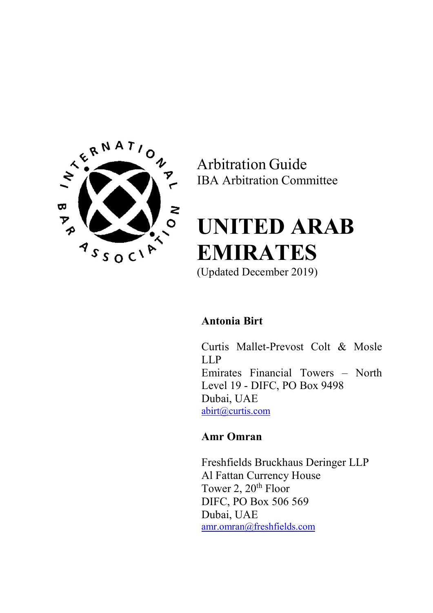

Arbitration Guide IBA Arbitration Committee

# UNITED ARAB EMIRATES

(Updated December 2019)

# Antonia Birt

Curtis Mallet-Prevost Colt & Mosle LLP Emirates Financial Towers – North Level 19 - DIFC, PO Box 9498 Dubai, UAE abirt@curtis.com

# Amr Omran

Freshfields Bruckhaus Deringer LLP Al Fattan Currency House Tower 2, 20<sup>th</sup> Floor DIFC, PO Box 506 569 Dubai, UAE amr.omran@freshfields.com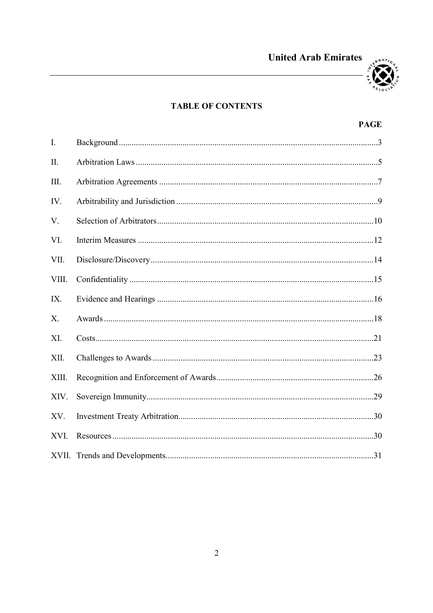



# **TABLE OF CONTENTS**

# **PAGE**

| I.    |  |
|-------|--|
| II.   |  |
| III.  |  |
| IV.   |  |
| V.    |  |
| VI.   |  |
| VII.  |  |
| VIII. |  |
| IX.   |  |
| X.    |  |
| XI.   |  |
| XII.  |  |
| XIII. |  |
| XIV.  |  |
| XV.   |  |
| XVI.  |  |
|       |  |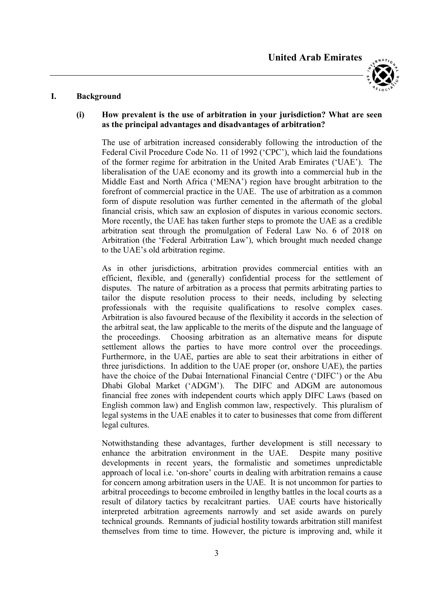



#### I. Background

# (i) How prevalent is the use of arbitration in your jurisdiction? What are seen as the principal advantages and disadvantages of arbitration?

The use of arbitration increased considerably following the introduction of the Federal Civil Procedure Code No. 11 of 1992 ('CPC'), which laid the foundations of the former regime for arbitration in the United Arab Emirates ('UAE'). The liberalisation of the UAE economy and its growth into a commercial hub in the Middle East and North Africa ('MENA') region have brought arbitration to the forefront of commercial practice in the UAE. The use of arbitration as a common form of dispute resolution was further cemented in the aftermath of the global financial crisis, which saw an explosion of disputes in various economic sectors. More recently, the UAE has taken further steps to promote the UAE as a credible arbitration seat through the promulgation of Federal Law No. 6 of 2018 on Arbitration (the 'Federal Arbitration Law'), which brought much needed change to the UAE's old arbitration regime.

As in other jurisdictions, arbitration provides commercial entities with an efficient, flexible, and (generally) confidential process for the settlement of disputes. The nature of arbitration as a process that permits arbitrating parties to tailor the dispute resolution process to their needs, including by selecting professionals with the requisite qualifications to resolve complex cases. Arbitration is also favoured because of the flexibility it accords in the selection of the arbitral seat, the law applicable to the merits of the dispute and the language of the proceedings. Choosing arbitration as an alternative means for dispute settlement allows the parties to have more control over the proceedings. Furthermore, in the UAE, parties are able to seat their arbitrations in either of three jurisdictions. In addition to the UAE proper (or, onshore UAE), the parties have the choice of the Dubai International Financial Centre ('DIFC') or the Abu Dhabi Global Market ('ADGM'). The DIFC and ADGM are autonomous financial free zones with independent courts which apply DIFC Laws (based on English common law) and English common law, respectively. This pluralism of legal systems in the UAE enables it to cater to businesses that come from different legal cultures.

Notwithstanding these advantages, further development is still necessary to enhance the arbitration environment in the UAE. Despite many positive developments in recent years, the formalistic and sometimes unpredictable approach of local i.e. 'on-shore' courts in dealing with arbitration remains a cause for concern among arbitration users in the UAE. It is not uncommon for parties to arbitral proceedings to become embroiled in lengthy battles in the local courts as a result of dilatory tactics by recalcitrant parties. UAE courts have historically interpreted arbitration agreements narrowly and set aside awards on purely technical grounds. Remnants of judicial hostility towards arbitration still manifest themselves from time to time. However, the picture is improving and, while it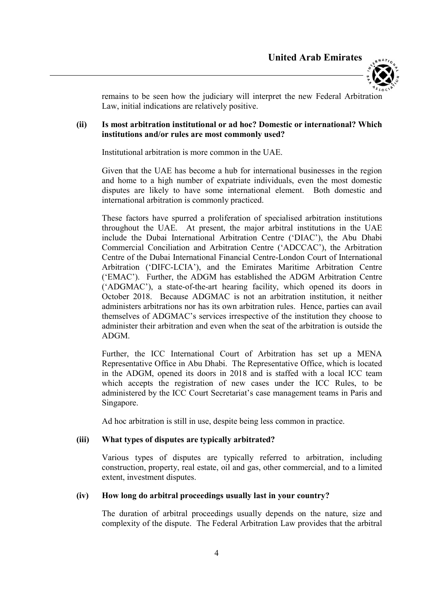



remains to be seen how the judiciary will interpret the new Federal Arbitration Law, initial indications are relatively positive.

## (ii) Is most arbitration institutional or ad hoc? Domestic or international? Which institutions and/or rules are most commonly used?

Institutional arbitration is more common in the UAE.

Given that the UAE has become a hub for international businesses in the region and home to a high number of expatriate individuals, even the most domestic disputes are likely to have some international element. Both domestic and international arbitration is commonly practiced.

These factors have spurred a proliferation of specialised arbitration institutions throughout the UAE. At present, the major arbitral institutions in the UAE include the Dubai International Arbitration Centre ('DIAC'), the Abu Dhabi Commercial Conciliation and Arbitration Centre ('ADCCAC'), the Arbitration Centre of the Dubai International Financial Centre-London Court of International Arbitration ('DIFC-LCIA'), and the Emirates Maritime Arbitration Centre ('EMAC'). Further, the ADGM has established the ADGM Arbitration Centre ('ADGMAC'), a state-of-the-art hearing facility, which opened its doors in October 2018. Because ADGMAC is not an arbitration institution, it neither administers arbitrations nor has its own arbitration rules. Hence, parties can avail themselves of ADGMAC's services irrespective of the institution they choose to administer their arbitration and even when the seat of the arbitration is outside the ADGM.

Further, the ICC International Court of Arbitration has set up a MENA Representative Office in Abu Dhabi. The Representative Office, which is located in the ADGM, opened its doors in 2018 and is staffed with a local ICC team which accepts the registration of new cases under the ICC Rules, to be administered by the ICC Court Secretariat's case management teams in Paris and Singapore.

Ad hoc arbitration is still in use, despite being less common in practice.

# (iii) What types of disputes are typically arbitrated?

Various types of disputes are typically referred to arbitration, including construction, property, real estate, oil and gas, other commercial, and to a limited extent, investment disputes.

#### (iv) How long do arbitral proceedings usually last in your country?

The duration of arbitral proceedings usually depends on the nature, size and complexity of the dispute. The Federal Arbitration Law provides that the arbitral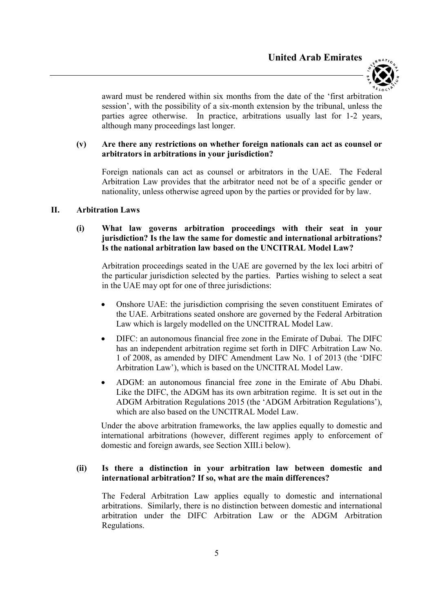

award must be rendered within six months from the date of the 'first arbitration session', with the possibility of a six-month extension by the tribunal, unless the parties agree otherwise. In practice, arbitrations usually last for 1-2 years, although many proceedings last longer.

#### (v) Are there any restrictions on whether foreign nationals can act as counsel or arbitrators in arbitrations in your jurisdiction?

Foreign nationals can act as counsel or arbitrators in the UAE. The Federal Arbitration Law provides that the arbitrator need not be of a specific gender or nationality, unless otherwise agreed upon by the parties or provided for by law.

#### II. Arbitration Laws

# (i) What law governs arbitration proceedings with their seat in your jurisdiction? Is the law the same for domestic and international arbitrations? Is the national arbitration law based on the UNCITRAL Model Law?

Arbitration proceedings seated in the UAE are governed by the lex loci arbitri of the particular jurisdiction selected by the parties. Parties wishing to select a seat in the UAE may opt for one of three jurisdictions:

- Onshore UAE: the jurisdiction comprising the seven constituent Emirates of the UAE. Arbitrations seated onshore are governed by the Federal Arbitration Law which is largely modelled on the UNCITRAL Model Law.
- DIFC: an autonomous financial free zone in the Emirate of Dubai. The DIFC has an independent arbitration regime set forth in DIFC Arbitration Law No. 1 of 2008, as amended by DIFC Amendment Law No. 1 of 2013 (the 'DIFC Arbitration Law'), which is based on the UNCITRAL Model Law.
- ADGM: an autonomous financial free zone in the Emirate of Abu Dhabi. Like the DIFC, the ADGM has its own arbitration regime. It is set out in the ADGM Arbitration Regulations 2015 (the 'ADGM Arbitration Regulations'), which are also based on the UNCITRAL Model Law.

Under the above arbitration frameworks, the law applies equally to domestic and international arbitrations (however, different regimes apply to enforcement of domestic and foreign awards, see Section XIII.i below).

### (ii) Is there a distinction in your arbitration law between domestic and international arbitration? If so, what are the main differences?

The Federal Arbitration Law applies equally to domestic and international arbitrations. Similarly, there is no distinction between domestic and international arbitration under the DIFC Arbitration Law or the ADGM Arbitration Regulations.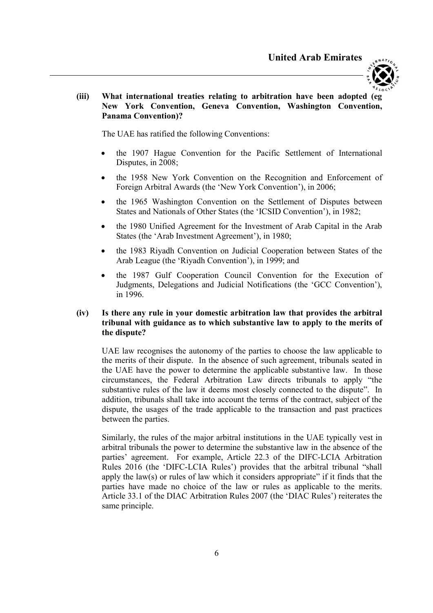

#### (iii) What international treaties relating to arbitration have been adopted (eg New York Convention, Geneva Convention, Washington Convention, Panama Convention)?

The UAE has ratified the following Conventions:

- the 1907 Hague Convention for the Pacific Settlement of International Disputes, in 2008;
- the 1958 New York Convention on the Recognition and Enforcement of Foreign Arbitral Awards (the 'New York Convention'), in 2006;
- the 1965 Washington Convention on the Settlement of Disputes between States and Nationals of Other States (the 'ICSID Convention'), in 1982;
- the 1980 Unified Agreement for the Investment of Arab Capital in the Arab States (the 'Arab Investment Agreement'), in 1980;
- the 1983 Riyadh Convention on Judicial Cooperation between States of the Arab League (the 'Riyadh Convention'), in 1999; and
- the 1987 Gulf Cooperation Council Convention for the Execution of Judgments, Delegations and Judicial Notifications (the 'GCC Convention'), in 1996.

#### (iv) Is there any rule in your domestic arbitration law that provides the arbitral tribunal with guidance as to which substantive law to apply to the merits of the dispute?

UAE law recognises the autonomy of the parties to choose the law applicable to the merits of their dispute. In the absence of such agreement, tribunals seated in the UAE have the power to determine the applicable substantive law. In those circumstances, the Federal Arbitration Law directs tribunals to apply "the substantive rules of the law it deems most closely connected to the dispute". In addition, tribunals shall take into account the terms of the contract, subject of the dispute, the usages of the trade applicable to the transaction and past practices between the parties.

Similarly, the rules of the major arbitral institutions in the UAE typically vest in arbitral tribunals the power to determine the substantive law in the absence of the parties' agreement. For example, Article 22.3 of the DIFC-LCIA Arbitration Rules 2016 (the 'DIFC-LCIA Rules') provides that the arbitral tribunal "shall apply the law(s) or rules of law which it considers appropriate" if it finds that the parties have made no choice of the law or rules as applicable to the merits. Article 33.1 of the DIAC Arbitration Rules 2007 (the 'DIAC Rules') reiterates the same principle.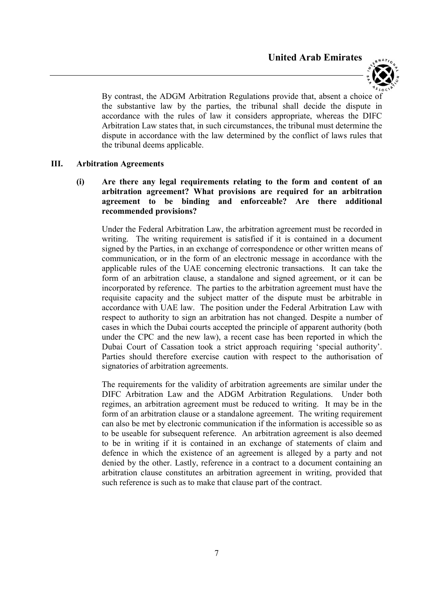

By contrast, the ADGM Arbitration Regulations provide that, absent a choice of the substantive law by the parties, the tribunal shall decide the dispute in accordance with the rules of law it considers appropriate, whereas the DIFC Arbitration Law states that, in such circumstances, the tribunal must determine the dispute in accordance with the law determined by the conflict of laws rules that the tribunal deems applicable.

#### III. Arbitration Agreements

(i) Are there any legal requirements relating to the form and content of an arbitration agreement? What provisions are required for an arbitration agreement to be binding and enforceable? Are there additional recommended provisions?

Under the Federal Arbitration Law, the arbitration agreement must be recorded in writing. The writing requirement is satisfied if it is contained in a document signed by the Parties, in an exchange of correspondence or other written means of communication, or in the form of an electronic message in accordance with the applicable rules of the UAE concerning electronic transactions. It can take the form of an arbitration clause, a standalone and signed agreement, or it can be incorporated by reference. The parties to the arbitration agreement must have the requisite capacity and the subject matter of the dispute must be arbitrable in accordance with UAE law. The position under the Federal Arbitration Law with respect to authority to sign an arbitration has not changed. Despite a number of cases in which the Dubai courts accepted the principle of apparent authority (both under the CPC and the new law), a recent case has been reported in which the Dubai Court of Cassation took a strict approach requiring 'special authority'. Parties should therefore exercise caution with respect to the authorisation of signatories of arbitration agreements.

The requirements for the validity of arbitration agreements are similar under the DIFC Arbitration Law and the ADGM Arbitration Regulations. Under both regimes, an arbitration agreement must be reduced to writing. It may be in the form of an arbitration clause or a standalone agreement. The writing requirement can also be met by electronic communication if the information is accessible so as to be useable for subsequent reference. An arbitration agreement is also deemed to be in writing if it is contained in an exchange of statements of claim and defence in which the existence of an agreement is alleged by a party and not denied by the other. Lastly, reference in a contract to a document containing an arbitration clause constitutes an arbitration agreement in writing, provided that such reference is such as to make that clause part of the contract.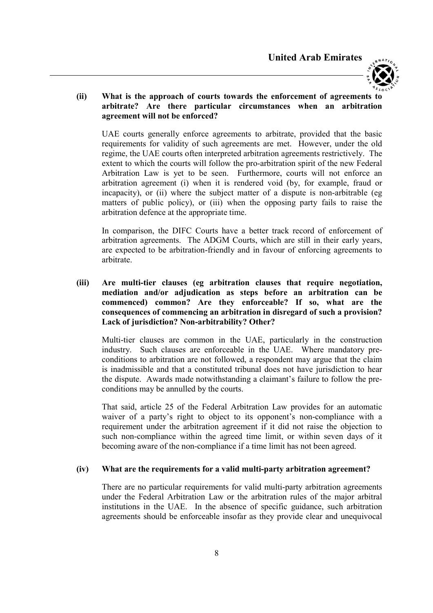

# (ii) What is the approach of courts towards the enforcement of agreements to arbitrate? Are there particular circumstances when an arbitration agreement will not be enforced?

UAE courts generally enforce agreements to arbitrate, provided that the basic requirements for validity of such agreements are met. However, under the old regime, the UAE courts often interpreted arbitration agreements restrictively. The extent to which the courts will follow the pro-arbitration spirit of the new Federal Arbitration Law is yet to be seen. Furthermore, courts will not enforce an arbitration agreement (i) when it is rendered void (by, for example, fraud or incapacity), or (ii) where the subject matter of a dispute is non-arbitrable (eg matters of public policy), or (iii) when the opposing party fails to raise the arbitration defence at the appropriate time.

In comparison, the DIFC Courts have a better track record of enforcement of arbitration agreements. The ADGM Courts, which are still in their early years, are expected to be arbitration-friendly and in favour of enforcing agreements to arbitrate.

(iii) Are multi-tier clauses (eg arbitration clauses that require negotiation, mediation and/or adjudication as steps before an arbitration can be commenced) common? Are they enforceable? If so, what are the consequences of commencing an arbitration in disregard of such a provision? Lack of jurisdiction? Non-arbitrability? Other?

Multi-tier clauses are common in the UAE, particularly in the construction industry. Such clauses are enforceable in the UAE. Where mandatory preconditions to arbitration are not followed, a respondent may argue that the claim is inadmissible and that a constituted tribunal does not have jurisdiction to hear the dispute. Awards made notwithstanding a claimant's failure to follow the preconditions may be annulled by the courts.

That said, article 25 of the Federal Arbitration Law provides for an automatic waiver of a party's right to object to its opponent's non-compliance with a requirement under the arbitration agreement if it did not raise the objection to such non-compliance within the agreed time limit, or within seven days of it becoming aware of the non-compliance if a time limit has not been agreed.

#### (iv) What are the requirements for a valid multi-party arbitration agreement?

There are no particular requirements for valid multi-party arbitration agreements under the Federal Arbitration Law or the arbitration rules of the major arbitral institutions in the UAE. In the absence of specific guidance, such arbitration agreements should be enforceable insofar as they provide clear and unequivocal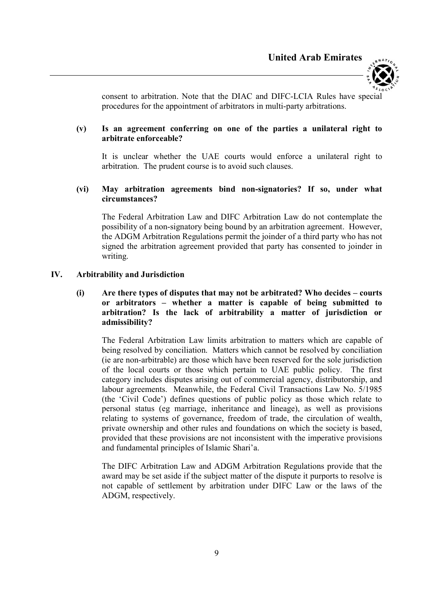

consent to arbitration. Note that the DIAC and DIFC-LCIA Rules have special procedures for the appointment of arbitrators in multi-party arbitrations.

#### (v) Is an agreement conferring on one of the parties a unilateral right to arbitrate enforceable?

It is unclear whether the UAE courts would enforce a unilateral right to arbitration. The prudent course is to avoid such clauses.

# (vi) May arbitration agreements bind non-signatories? If so, under what circumstances?

The Federal Arbitration Law and DIFC Arbitration Law do not contemplate the possibility of a non-signatory being bound by an arbitration agreement. However, the ADGM Arbitration Regulations permit the joinder of a third party who has not signed the arbitration agreement provided that party has consented to joinder in writing.

#### IV. Arbitrability and Jurisdiction

# (i) Are there types of disputes that may not be arbitrated? Who decides – courts or arbitrators – whether a matter is capable of being submitted to arbitration? Is the lack of arbitrability a matter of jurisdiction or admissibility?

The Federal Arbitration Law limits arbitration to matters which are capable of being resolved by conciliation. Matters which cannot be resolved by conciliation (ie are non-arbitrable) are those which have been reserved for the sole jurisdiction of the local courts or those which pertain to UAE public policy. The first category includes disputes arising out of commercial agency, distributorship, and labour agreements. Meanwhile, the Federal Civil Transactions Law No. 5/1985 (the 'Civil Code') defines questions of public policy as those which relate to personal status (eg marriage, inheritance and lineage), as well as provisions relating to systems of governance, freedom of trade, the circulation of wealth, private ownership and other rules and foundations on which the society is based, provided that these provisions are not inconsistent with the imperative provisions and fundamental principles of Islamic Shari'a.

The DIFC Arbitration Law and ADGM Arbitration Regulations provide that the award may be set aside if the subject matter of the dispute it purports to resolve is not capable of settlement by arbitration under DIFC Law or the laws of the ADGM, respectively.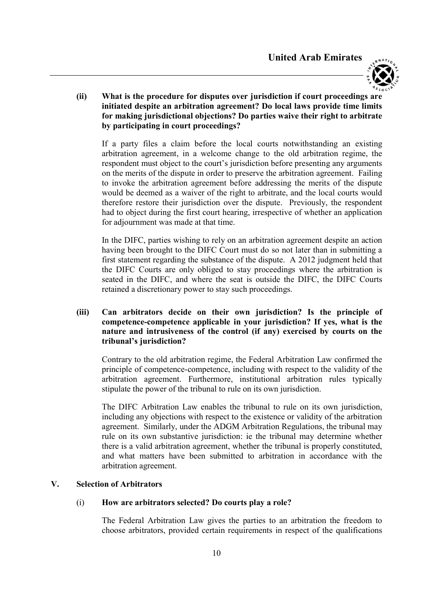

### (ii) What is the procedure for disputes over jurisdiction if court proceedings are initiated despite an arbitration agreement? Do local laws provide time limits for making jurisdictional objections? Do parties waive their right to arbitrate by participating in court proceedings?

If a party files a claim before the local courts notwithstanding an existing arbitration agreement, in a welcome change to the old arbitration regime, the respondent must object to the court's jurisdiction before presenting any arguments on the merits of the dispute in order to preserve the arbitration agreement. Failing to invoke the arbitration agreement before addressing the merits of the dispute would be deemed as a waiver of the right to arbitrate, and the local courts would therefore restore their jurisdiction over the dispute. Previously, the respondent had to object during the first court hearing, irrespective of whether an application for adjournment was made at that time.

In the DIFC, parties wishing to rely on an arbitration agreement despite an action having been brought to the DIFC Court must do so not later than in submitting a first statement regarding the substance of the dispute. A 2012 judgment held that the DIFC Courts are only obliged to stay proceedings where the arbitration is seated in the DIFC, and where the seat is outside the DIFC, the DIFC Courts retained a discretionary power to stay such proceedings.

## (iii) Can arbitrators decide on their own jurisdiction? Is the principle of competence-competence applicable in your jurisdiction? If yes, what is the nature and intrusiveness of the control (if any) exercised by courts on the tribunal's jurisdiction?

Contrary to the old arbitration regime, the Federal Arbitration Law confirmed the principle of competence-competence, including with respect to the validity of the arbitration agreement. Furthermore, institutional arbitration rules typically stipulate the power of the tribunal to rule on its own jurisdiction.

The DIFC Arbitration Law enables the tribunal to rule on its own jurisdiction, including any objections with respect to the existence or validity of the arbitration agreement. Similarly, under the ADGM Arbitration Regulations, the tribunal may rule on its own substantive jurisdiction: ie the tribunal may determine whether there is a valid arbitration agreement, whether the tribunal is properly constituted, and what matters have been submitted to arbitration in accordance with the arbitration agreement.

#### V. Selection of Arbitrators

#### (i) How are arbitrators selected? Do courts play a role?

The Federal Arbitration Law gives the parties to an arbitration the freedom to choose arbitrators, provided certain requirements in respect of the qualifications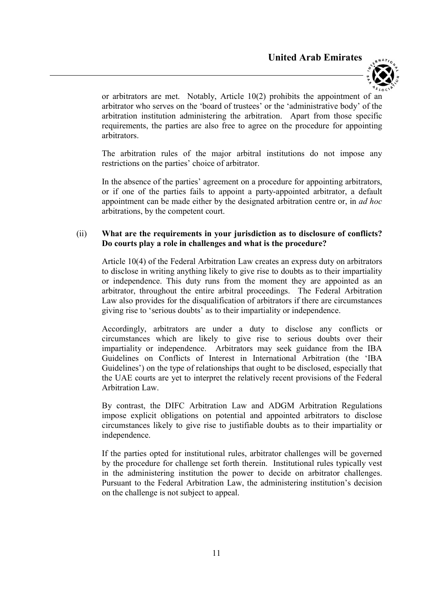

or arbitrators are met. Notably, Article 10(2) prohibits the appointment of an arbitrator who serves on the 'board of trustees' or the 'administrative body' of the arbitration institution administering the arbitration. Apart from those specific requirements, the parties are also free to agree on the procedure for appointing arbitrators.

The arbitration rules of the major arbitral institutions do not impose any restrictions on the parties' choice of arbitrator.

In the absence of the parties' agreement on a procedure for appointing arbitrators, or if one of the parties fails to appoint a party-appointed arbitrator, a default appointment can be made either by the designated arbitration centre or, in *ad hoc* arbitrations, by the competent court.

#### (ii) What are the requirements in your jurisdiction as to disclosure of conflicts? Do courts play a role in challenges and what is the procedure?

Article 10(4) of the Federal Arbitration Law creates an express duty on arbitrators to disclose in writing anything likely to give rise to doubts as to their impartiality or independence. This duty runs from the moment they are appointed as an arbitrator, throughout the entire arbitral proceedings. The Federal Arbitration Law also provides for the disqualification of arbitrators if there are circumstances giving rise to 'serious doubts' as to their impartiality or independence.

Accordingly, arbitrators are under a duty to disclose any conflicts or circumstances which are likely to give rise to serious doubts over their impartiality or independence. Arbitrators may seek guidance from the IBA Guidelines on Conflicts of Interest in International Arbitration (the 'IBA Guidelines') on the type of relationships that ought to be disclosed, especially that the UAE courts are yet to interpret the relatively recent provisions of the Federal Arbitration Law.

By contrast, the DIFC Arbitration Law and ADGM Arbitration Regulations impose explicit obligations on potential and appointed arbitrators to disclose circumstances likely to give rise to justifiable doubts as to their impartiality or independence.

If the parties opted for institutional rules, arbitrator challenges will be governed by the procedure for challenge set forth therein. Institutional rules typically vest in the administering institution the power to decide on arbitrator challenges. Pursuant to the Federal Arbitration Law, the administering institution's decision on the challenge is not subject to appeal.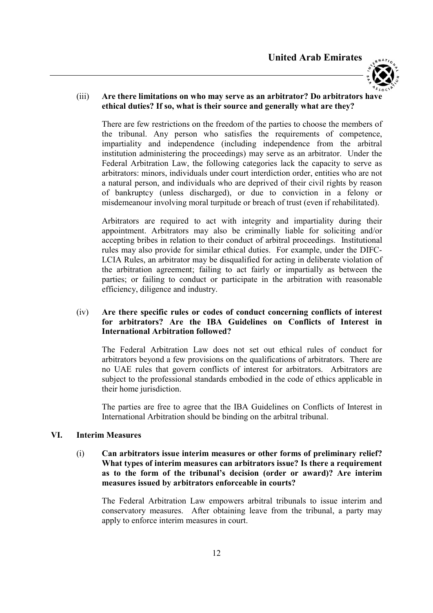

# (iii) Are there limitations on who may serve as an arbitrator? Do arbitrators have ethical duties? If so, what is their source and generally what are they?

There are few restrictions on the freedom of the parties to choose the members of the tribunal. Any person who satisfies the requirements of competence, impartiality and independence (including independence from the arbitral institution administering the proceedings) may serve as an arbitrator. Under the Federal Arbitration Law, the following categories lack the capacity to serve as arbitrators: minors, individuals under court interdiction order, entities who are not a natural person, and individuals who are deprived of their civil rights by reason of bankruptcy (unless discharged), or due to conviction in a felony or misdemeanour involving moral turpitude or breach of trust (even if rehabilitated).

Arbitrators are required to act with integrity and impartiality during their appointment. Arbitrators may also be criminally liable for soliciting and/or accepting bribes in relation to their conduct of arbitral proceedings. Institutional rules may also provide for similar ethical duties. For example, under the DIFC-LCIA Rules, an arbitrator may be disqualified for acting in deliberate violation of the arbitration agreement; failing to act fairly or impartially as between the parties; or failing to conduct or participate in the arbitration with reasonable efficiency, diligence and industry.

# (iv) Are there specific rules or codes of conduct concerning conflicts of interest for arbitrators? Are the IBA Guidelines on Conflicts of Interest in International Arbitration followed?

The Federal Arbitration Law does not set out ethical rules of conduct for arbitrators beyond a few provisions on the qualifications of arbitrators. There are no UAE rules that govern conflicts of interest for arbitrators. Arbitrators are subject to the professional standards embodied in the code of ethics applicable in their home jurisdiction.

The parties are free to agree that the IBA Guidelines on Conflicts of Interest in International Arbitration should be binding on the arbitral tribunal.

#### VI. Interim Measures

(i) Can arbitrators issue interim measures or other forms of preliminary relief? What types of interim measures can arbitrators issue? Is there a requirement as to the form of the tribunal's decision (order or award)? Are interim measures issued by arbitrators enforceable in courts?

The Federal Arbitration Law empowers arbitral tribunals to issue interim and conservatory measures. After obtaining leave from the tribunal, a party may apply to enforce interim measures in court.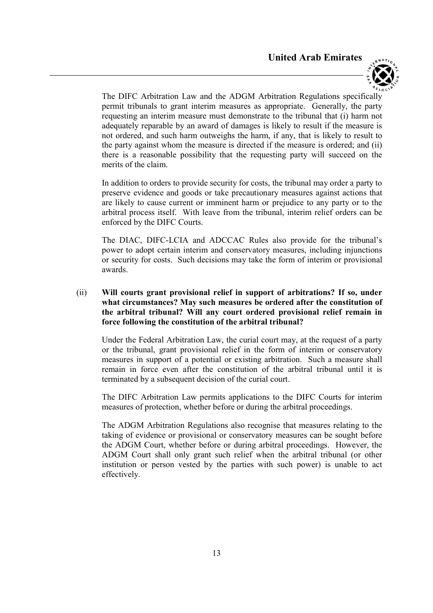

The DIFC Arbitration Law and the ADGM Arbitration Regulations specifically permit tribunals to grant interim measures as appropriate. Generally, the party requesting an interim measure must demonstrate to the tribunal that (i) harm not adequately reparable by an award of damages is likely to result if the measure is not ordered, and such harm outweighs the harm, if any, that is likely to result to the party against whom the measure is directed if the measure is ordered; and (ii) there is a reasonable possibility that the requesting party will succeed on the merits of the claim.

In addition to orders to provide security for costs, the tribunal may order a party to preserve evidence and goods or take precautionary measures against actions that are likely to cause current or imminent harm or prejudice to any party or to the arbitral process itself. With leave from the tribunal, interim relief orders can be enforced by the DIFC Courts.

The DIAC, DIFC-LCIA and ADCCAC Rules also provide for the tribunal's power to adopt certain interim and conservatory measures, including injunctions or security for costs. Such decisions may take the form of interim or provisional awards.

# (ii) Will courts grant provisional relief in support of arbitrations? If so, under what circumstances? May such measures be ordered after the constitution of the arbitral tribunal? Will any court ordered provisional relief remain in force following the constitution of the arbitral tribunal?

Under the Federal Arbitration Law, the curial court may, at the request of a party or the tribunal, grant provisional relief in the form of interim or conservatory measures in support of a potential or existing arbitration. Such a measure shall remain in force even after the constitution of the arbitral tribunal until it is terminated by a subsequent decision of the curial court.

The DIFC Arbitration Law permits applications to the DIFC Courts for interim measures of protection, whether before or during the arbitral proceedings.

The ADGM Arbitration Regulations also recognise that measures relating to the taking of evidence or provisional or conservatory measures can be sought before the ADGM Court, whether before or during arbitral proceedings. However, the ADGM Court shall only grant such relief when the arbitral tribunal (or other institution or person vested by the parties with such power) is unable to act effectively.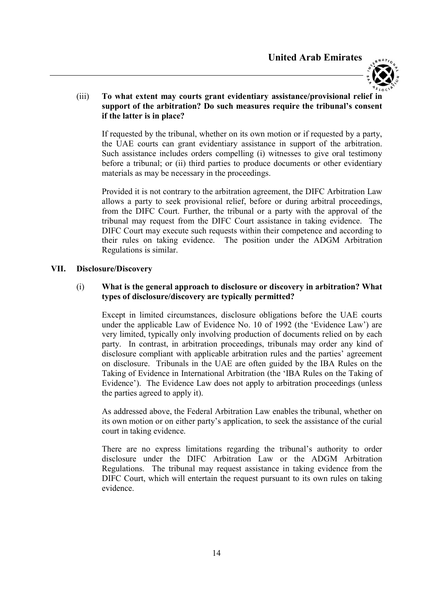

# (iii) To what extent may courts grant evidentiary assistance/provisional relief in support of the arbitration? Do such measures require the tribunal's consent if the latter is in place?

If requested by the tribunal, whether on its own motion or if requested by a party, the UAE courts can grant evidentiary assistance in support of the arbitration. Such assistance includes orders compelling (i) witnesses to give oral testimony before a tribunal; or (ii) third parties to produce documents or other evidentiary materials as may be necessary in the proceedings.

Provided it is not contrary to the arbitration agreement, the DIFC Arbitration Law allows a party to seek provisional relief, before or during arbitral proceedings, from the DIFC Court. Further, the tribunal or a party with the approval of the tribunal may request from the DIFC Court assistance in taking evidence. The DIFC Court may execute such requests within their competence and according to their rules on taking evidence. The position under the ADGM Arbitration Regulations is similar.

#### VII. Disclosure/Discovery

# (i) What is the general approach to disclosure or discovery in arbitration? What types of disclosure/discovery are typically permitted?

Except in limited circumstances, disclosure obligations before the UAE courts under the applicable Law of Evidence No. 10 of 1992 (the 'Evidence Law') are very limited, typically only involving production of documents relied on by each party. In contrast, in arbitration proceedings, tribunals may order any kind of disclosure compliant with applicable arbitration rules and the parties' agreement on disclosure. Tribunals in the UAE are often guided by the IBA Rules on the Taking of Evidence in International Arbitration (the 'IBA Rules on the Taking of Evidence'). The Evidence Law does not apply to arbitration proceedings (unless the parties agreed to apply it).

As addressed above, the Federal Arbitration Law enables the tribunal, whether on its own motion or on either party's application, to seek the assistance of the curial court in taking evidence.

There are no express limitations regarding the tribunal's authority to order disclosure under the DIFC Arbitration Law or the ADGM Arbitration Regulations. The tribunal may request assistance in taking evidence from the DIFC Court, which will entertain the request pursuant to its own rules on taking evidence.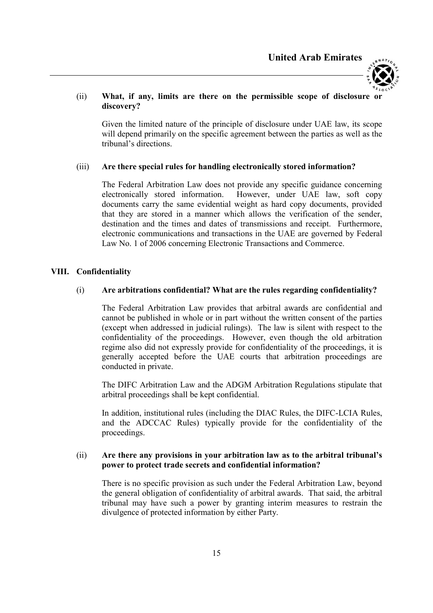

#### (ii) What, if any, limits are there on the permissible scope of disclosure or discovery?

Given the limited nature of the principle of disclosure under UAE law, its scope will depend primarily on the specific agreement between the parties as well as the tribunal's directions.

#### (iii) Are there special rules for handling electronically stored information?

The Federal Arbitration Law does not provide any specific guidance concerning electronically stored information. However, under UAE law, soft copy documents carry the same evidential weight as hard copy documents, provided that they are stored in a manner which allows the verification of the sender, destination and the times and dates of transmissions and receipt. Furthermore, electronic communications and transactions in the UAE are governed by Federal Law No. 1 of 2006 concerning Electronic Transactions and Commerce.

# VIII. Confidentiality

# (i) Are arbitrations confidential? What are the rules regarding confidentiality?

The Federal Arbitration Law provides that arbitral awards are confidential and cannot be published in whole or in part without the written consent of the parties (except when addressed in judicial rulings). The law is silent with respect to the confidentiality of the proceedings. However, even though the old arbitration regime also did not expressly provide for confidentiality of the proceedings, it is generally accepted before the UAE courts that arbitration proceedings are conducted in private.

The DIFC Arbitration Law and the ADGM Arbitration Regulations stipulate that arbitral proceedings shall be kept confidential.

In addition, institutional rules (including the DIAC Rules, the DIFC-LCIA Rules, and the ADCCAC Rules) typically provide for the confidentiality of the proceedings.

#### (ii) Are there any provisions in your arbitration law as to the arbitral tribunal's power to protect trade secrets and confidential information?

There is no specific provision as such under the Federal Arbitration Law, beyond the general obligation of confidentiality of arbitral awards. That said, the arbitral tribunal may have such a power by granting interim measures to restrain the divulgence of protected information by either Party.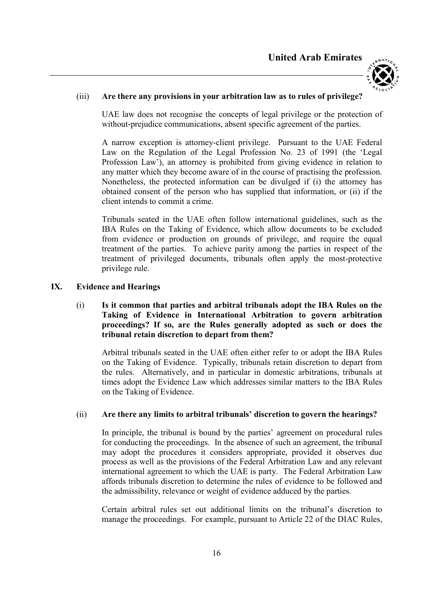

#### (iii) Are there any provisions in your arbitration law as to rules of privilege?

UAE law does not recognise the concepts of legal privilege or the protection of without-prejudice communications, absent specific agreement of the parties.

A narrow exception is attorney-client privilege. Pursuant to the UAE Federal Law on the Regulation of the Legal Profession No. 23 of 1991 (the 'Legal Profession Law'), an attorney is prohibited from giving evidence in relation to any matter which they become aware of in the course of practising the profession. Nonetheless, the protected information can be divulged if (i) the attorney has obtained consent of the person who has supplied that information, or (ii) if the client intends to commit a crime.

Tribunals seated in the UAE often follow international guidelines, such as the IBA Rules on the Taking of Evidence, which allow documents to be excluded from evidence or production on grounds of privilege, and require the equal treatment of the parties. To achieve parity among the parties in respect of the treatment of privileged documents, tribunals often apply the most-protective privilege rule.

#### IX. Evidence and Hearings

# (i) Is it common that parties and arbitral tribunals adopt the IBA Rules on the Taking of Evidence in International Arbitration to govern arbitration proceedings? If so, are the Rules generally adopted as such or does the tribunal retain discretion to depart from them?

Arbitral tribunals seated in the UAE often either refer to or adopt the IBA Rules on the Taking of Evidence. Typically, tribunals retain discretion to depart from the rules. Alternatively, and in particular in domestic arbitrations, tribunals at times adopt the Evidence Law which addresses similar matters to the IBA Rules on the Taking of Evidence.

#### (ii) Are there any limits to arbitral tribunals' discretion to govern the hearings?

In principle, the tribunal is bound by the parties' agreement on procedural rules for conducting the proceedings. In the absence of such an agreement, the tribunal may adopt the procedures it considers appropriate, provided it observes due process as well as the provisions of the Federal Arbitration Law and any relevant international agreement to which the UAE is party. The Federal Arbitration Law affords tribunals discretion to determine the rules of evidence to be followed and the admissibility, relevance or weight of evidence adduced by the parties.

Certain arbitral rules set out additional limits on the tribunal's discretion to manage the proceedings. For example, pursuant to Article 22 of the DIAC Rules,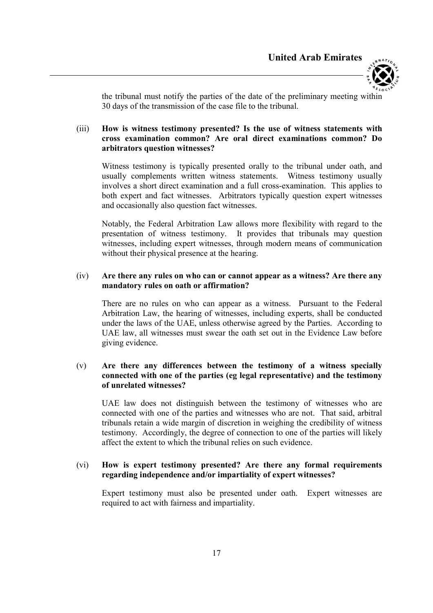

the tribunal must notify the parties of the date of the preliminary meeting within 30 days of the transmission of the case file to the tribunal.

# (iii) How is witness testimony presented? Is the use of witness statements with cross examination common? Are oral direct examinations common? Do arbitrators question witnesses?

Witness testimony is typically presented orally to the tribunal under oath, and usually complements written witness statements. Witness testimony usually involves a short direct examination and a full cross-examination. This applies to both expert and fact witnesses. Arbitrators typically question expert witnesses and occasionally also question fact witnesses.

Notably, the Federal Arbitration Law allows more flexibility with regard to the presentation of witness testimony. It provides that tribunals may question witnesses, including expert witnesses, through modern means of communication without their physical presence at the hearing.

## (iv) Are there any rules on who can or cannot appear as a witness? Are there any mandatory rules on oath or affirmation?

There are no rules on who can appear as a witness. Pursuant to the Federal Arbitration Law, the hearing of witnesses, including experts, shall be conducted under the laws of the UAE, unless otherwise agreed by the Parties. According to UAE law, all witnesses must swear the oath set out in the Evidence Law before giving evidence.

# (v) Are there any differences between the testimony of a witness specially connected with one of the parties (eg legal representative) and the testimony of unrelated witnesses?

UAE law does not distinguish between the testimony of witnesses who are connected with one of the parties and witnesses who are not. That said, arbitral tribunals retain a wide margin of discretion in weighing the credibility of witness testimony. Accordingly, the degree of connection to one of the parties will likely affect the extent to which the tribunal relies on such evidence.

# (vi) How is expert testimony presented? Are there any formal requirements regarding independence and/or impartiality of expert witnesses?

Expert testimony must also be presented under oath. Expert witnesses are required to act with fairness and impartiality.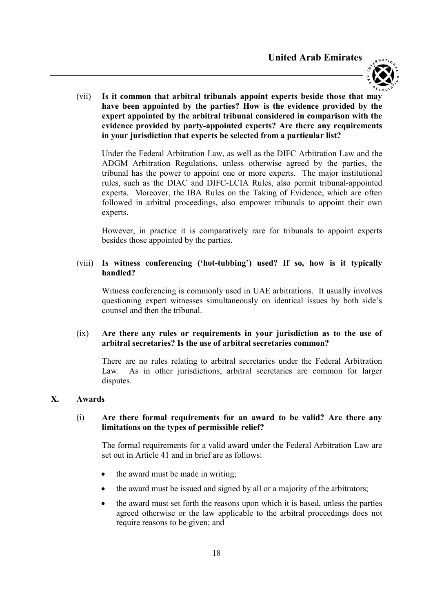

(vii) Is it common that arbitral tribunals appoint experts beside those that may have been appointed by the parties? How is the evidence provided by the expert appointed by the arbitral tribunal considered in comparison with the evidence provided by party-appointed experts? Are there any requirements in your jurisdiction that experts be selected from a particular list?

Under the Federal Arbitration Law, as well as the DIFC Arbitration Law and the ADGM Arbitration Regulations, unless otherwise agreed by the parties, the tribunal has the power to appoint one or more experts. The major institutional rules, such as the DIAC and DIFC-LCIA Rules, also permit tribunal-appointed experts. Moreover, the IBA Rules on the Taking of Evidence, which are often followed in arbitral proceedings, also empower tribunals to appoint their own experts.

However, in practice it is comparatively rare for tribunals to appoint experts besides those appointed by the parties.

#### (viii) Is witness conferencing ('hot-tubbing') used? If so, how is it typically handled?

Witness conferencing is commonly used in UAE arbitrations. It usually involves questioning expert witnesses simultaneously on identical issues by both side's counsel and then the tribunal.

#### (ix) Are there any rules or requirements in your jurisdiction as to the use of arbitral secretaries? Is the use of arbitral secretaries common?

There are no rules relating to arbitral secretaries under the Federal Arbitration Law. As in other jurisdictions, arbitral secretaries are common for larger disputes.

#### X. Awards

# (i) Are there formal requirements for an award to be valid? Are there any limitations on the types of permissible relief?

The formal requirements for a valid award under the Federal Arbitration Law are set out in Article 41 and in brief are as follows:

- the award must be made in writing;
- the award must be issued and signed by all or a majority of the arbitrators;
- the award must set forth the reasons upon which it is based, unless the parties agreed otherwise or the law applicable to the arbitral proceedings does not require reasons to be given; and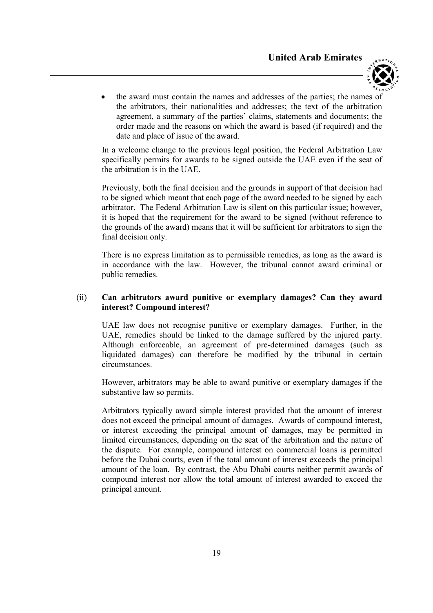

 the award must contain the names and addresses of the parties; the names of the arbitrators, their nationalities and addresses; the text of the arbitration agreement, a summary of the parties' claims, statements and documents; the order made and the reasons on which the award is based (if required) and the date and place of issue of the award.

In a welcome change to the previous legal position, the Federal Arbitration Law specifically permits for awards to be signed outside the UAE even if the seat of the arbitration is in the UAE.

Previously, both the final decision and the grounds in support of that decision had to be signed which meant that each page of the award needed to be signed by each arbitrator. The Federal Arbitration Law is silent on this particular issue; however, it is hoped that the requirement for the award to be signed (without reference to the grounds of the award) means that it will be sufficient for arbitrators to sign the final decision only.

There is no express limitation as to permissible remedies, as long as the award is in accordance with the law. However, the tribunal cannot award criminal or public remedies.

#### (ii) Can arbitrators award punitive or exemplary damages? Can they award interest? Compound interest?

UAE law does not recognise punitive or exemplary damages. Further, in the UAE, remedies should be linked to the damage suffered by the injured party. Although enforceable, an agreement of pre-determined damages (such as liquidated damages) can therefore be modified by the tribunal in certain circumstances.

However, arbitrators may be able to award punitive or exemplary damages if the substantive law so permits.

Arbitrators typically award simple interest provided that the amount of interest does not exceed the principal amount of damages. Awards of compound interest, or interest exceeding the principal amount of damages, may be permitted in limited circumstances, depending on the seat of the arbitration and the nature of the dispute. For example, compound interest on commercial loans is permitted before the Dubai courts, even if the total amount of interest exceeds the principal amount of the loan. By contrast, the Abu Dhabi courts neither permit awards of compound interest nor allow the total amount of interest awarded to exceed the principal amount.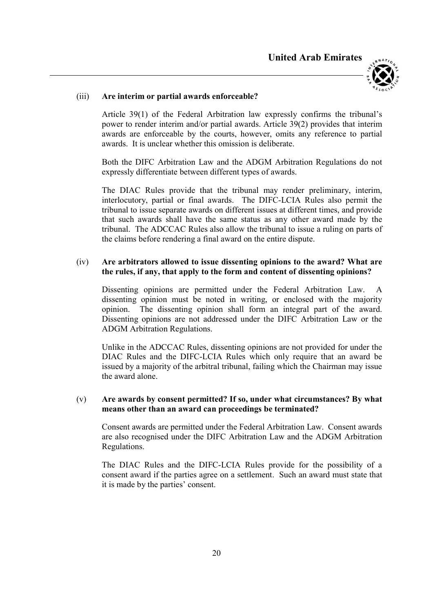

## (iii) Are interim or partial awards enforceable?

Article 39(1) of the Federal Arbitration law expressly confirms the tribunal's power to render interim and/or partial awards. Article 39(2) provides that interim awards are enforceable by the courts, however, omits any reference to partial awards. It is unclear whether this omission is deliberate.

Both the DIFC Arbitration Law and the ADGM Arbitration Regulations do not expressly differentiate between different types of awards.

The DIAC Rules provide that the tribunal may render preliminary, interim, interlocutory, partial or final awards. The DIFC-LCIA Rules also permit the tribunal to issue separate awards on different issues at different times, and provide that such awards shall have the same status as any other award made by the tribunal. The ADCCAC Rules also allow the tribunal to issue a ruling on parts of the claims before rendering a final award on the entire dispute.

## (iv) Are arbitrators allowed to issue dissenting opinions to the award? What are the rules, if any, that apply to the form and content of dissenting opinions?

Dissenting opinions are permitted under the Federal Arbitration Law. dissenting opinion must be noted in writing, or enclosed with the majority opinion. The dissenting opinion shall form an integral part of the award. Dissenting opinions are not addressed under the DIFC Arbitration Law or the ADGM Arbitration Regulations.

Unlike in the ADCCAC Rules, dissenting opinions are not provided for under the DIAC Rules and the DIFC-LCIA Rules which only require that an award be issued by a majority of the arbitral tribunal, failing which the Chairman may issue the award alone.

#### (v) Are awards by consent permitted? If so, under what circumstances? By what means other than an award can proceedings be terminated?

Consent awards are permitted under the Federal Arbitration Law. Consent awards are also recognised under the DIFC Arbitration Law and the ADGM Arbitration Regulations.

The DIAC Rules and the DIFC-LCIA Rules provide for the possibility of a consent award if the parties agree on a settlement. Such an award must state that it is made by the parties' consent.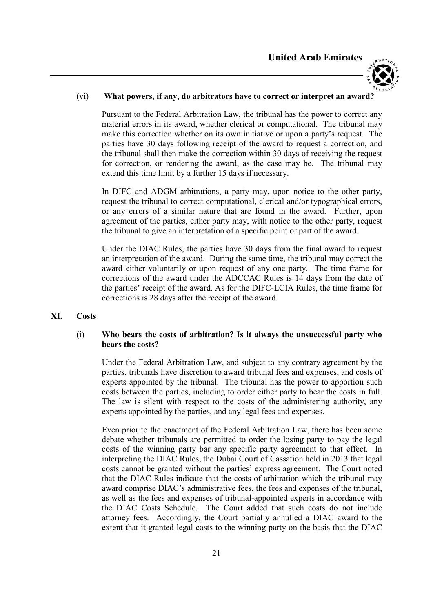

#### (vi) What powers, if any, do arbitrators have to correct or interpret an award?

Pursuant to the Federal Arbitration Law, the tribunal has the power to correct any material errors in its award, whether clerical or computational. The tribunal may make this correction whether on its own initiative or upon a party's request. The parties have 30 days following receipt of the award to request a correction, and the tribunal shall then make the correction within 30 days of receiving the request for correction, or rendering the award, as the case may be. The tribunal may extend this time limit by a further 15 days if necessary.

In DIFC and ADGM arbitrations, a party may, upon notice to the other party, request the tribunal to correct computational, clerical and/or typographical errors, or any errors of a similar nature that are found in the award. Further, upon agreement of the parties, either party may, with notice to the other party, request the tribunal to give an interpretation of a specific point or part of the award.

Under the DIAC Rules, the parties have 30 days from the final award to request an interpretation of the award. During the same time, the tribunal may correct the award either voluntarily or upon request of any one party. The time frame for corrections of the award under the ADCCAC Rules is 14 days from the date of the parties' receipt of the award. As for the DIFC-LCIA Rules, the time frame for corrections is 28 days after the receipt of the award.

XI. Costs

#### (i) Who bears the costs of arbitration? Is it always the unsuccessful party who bears the costs?

Under the Federal Arbitration Law, and subject to any contrary agreement by the parties, tribunals have discretion to award tribunal fees and expenses, and costs of experts appointed by the tribunal. The tribunal has the power to apportion such costs between the parties, including to order either party to bear the costs in full. The law is silent with respect to the costs of the administering authority, any experts appointed by the parties, and any legal fees and expenses.

Even prior to the enactment of the Federal Arbitration Law, there has been some debate whether tribunals are permitted to order the losing party to pay the legal costs of the winning party bar any specific party agreement to that effect. In interpreting the DIAC Rules, the Dubai Court of Cassation held in 2013 that legal costs cannot be granted without the parties' express agreement. The Court noted that the DIAC Rules indicate that the costs of arbitration which the tribunal may award comprise DIAC's administrative fees, the fees and expenses of the tribunal, as well as the fees and expenses of tribunal-appointed experts in accordance with the DIAC Costs Schedule. The Court added that such costs do not include attorney fees. Accordingly, the Court partially annulled a DIAC award to the extent that it granted legal costs to the winning party on the basis that the DIAC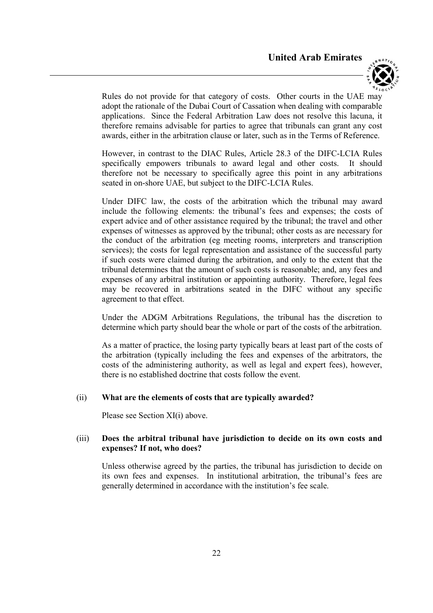

Rules do not provide for that category of costs. Other courts in the UAE may adopt the rationale of the Dubai Court of Cassation when dealing with comparable applications. Since the Federal Arbitration Law does not resolve this lacuna, it therefore remains advisable for parties to agree that tribunals can grant any cost awards, either in the arbitration clause or later, such as in the Terms of Reference.

However, in contrast to the DIAC Rules, Article 28.3 of the DIFC-LCIA Rules specifically empowers tribunals to award legal and other costs. It should therefore not be necessary to specifically agree this point in any arbitrations seated in on-shore UAE, but subject to the DIFC-LCIA Rules.

Under DIFC law, the costs of the arbitration which the tribunal may award include the following elements: the tribunal's fees and expenses; the costs of expert advice and of other assistance required by the tribunal; the travel and other expenses of witnesses as approved by the tribunal; other costs as are necessary for the conduct of the arbitration (eg meeting rooms, interpreters and transcription services); the costs for legal representation and assistance of the successful party if such costs were claimed during the arbitration, and only to the extent that the tribunal determines that the amount of such costs is reasonable; and, any fees and expenses of any arbitral institution or appointing authority. Therefore, legal fees may be recovered in arbitrations seated in the DIFC without any specific agreement to that effect.

Under the ADGM Arbitrations Regulations, the tribunal has the discretion to determine which party should bear the whole or part of the costs of the arbitration.

As a matter of practice, the losing party typically bears at least part of the costs of the arbitration (typically including the fees and expenses of the arbitrators, the costs of the administering authority, as well as legal and expert fees), however, there is no established doctrine that costs follow the event.

#### (ii) What are the elements of costs that are typically awarded?

Please see Section XI(i) above.

# (iii) Does the arbitral tribunal have jurisdiction to decide on its own costs and expenses? If not, who does?

Unless otherwise agreed by the parties, the tribunal has jurisdiction to decide on its own fees and expenses. In institutional arbitration, the tribunal's fees are generally determined in accordance with the institution's fee scale.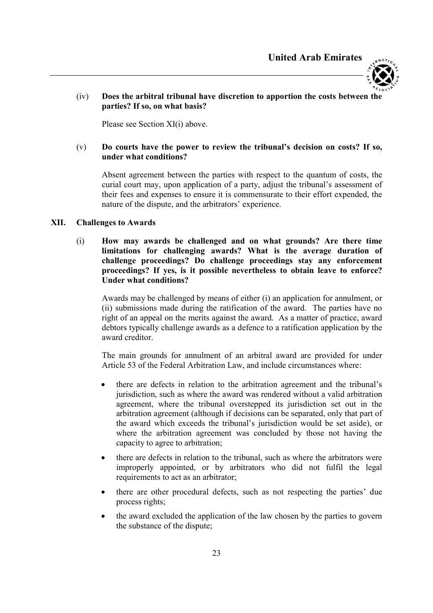



#### (iv) Does the arbitral tribunal have discretion to apportion the costs between the parties? If so, on what basis?

Please see Section XI(i) above.

#### (v) Do courts have the power to review the tribunal's decision on costs? If so, under what conditions?

Absent agreement between the parties with respect to the quantum of costs, the curial court may, upon application of a party, adjust the tribunal's assessment of their fees and expenses to ensure it is commensurate to their effort expended, the nature of the dispute, and the arbitrators' experience.

#### XII. Challenges to Awards

(i) How may awards be challenged and on what grounds? Are there time limitations for challenging awards? What is the average duration of challenge proceedings? Do challenge proceedings stay any enforcement proceedings? If yes, is it possible nevertheless to obtain leave to enforce? Under what conditions?

Awards may be challenged by means of either (i) an application for annulment, or (ii) submissions made during the ratification of the award. The parties have no right of an appeal on the merits against the award. As a matter of practice, award debtors typically challenge awards as a defence to a ratification application by the award creditor.

The main grounds for annulment of an arbitral award are provided for under Article 53 of the Federal Arbitration Law, and include circumstances where:

- there are defects in relation to the arbitration agreement and the tribunal's jurisdiction, such as where the award was rendered without a valid arbitration agreement, where the tribunal overstepped its jurisdiction set out in the arbitration agreement (although if decisions can be separated, only that part of the award which exceeds the tribunal's jurisdiction would be set aside), or where the arbitration agreement was concluded by those not having the capacity to agree to arbitration;
- there are defects in relation to the tribunal, such as where the arbitrators were improperly appointed, or by arbitrators who did not fulfil the legal requirements to act as an arbitrator;
- there are other procedural defects, such as not respecting the parties' due process rights;
- the award excluded the application of the law chosen by the parties to govern the substance of the dispute;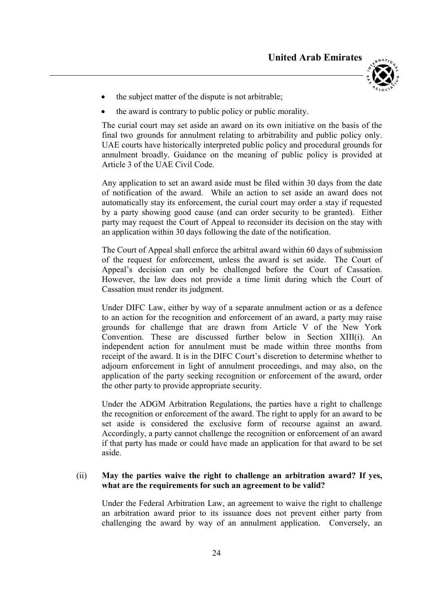

- the subject matter of the dispute is not arbitrable;
- the award is contrary to public policy or public morality.

The curial court may set aside an award on its own initiative on the basis of the final two grounds for annulment relating to arbitrability and public policy only. UAE courts have historically interpreted public policy and procedural grounds for annulment broadly. Guidance on the meaning of public policy is provided at Article 3 of the UAE Civil Code.

Any application to set an award aside must be filed within 30 days from the date of notification of the award. While an action to set aside an award does not automatically stay its enforcement, the curial court may order a stay if requested by a party showing good cause (and can order security to be granted). Either party may request the Court of Appeal to reconsider its decision on the stay with an application within 30 days following the date of the notification.

The Court of Appeal shall enforce the arbitral award within 60 days of submission of the request for enforcement, unless the award is set aside. The Court of Appeal's decision can only be challenged before the Court of Cassation. However, the law does not provide a time limit during which the Court of Cassation must render its judgment.

Under DIFC Law, either by way of a separate annulment action or as a defence to an action for the recognition and enforcement of an award, a party may raise grounds for challenge that are drawn from Article V of the New York Convention. These are discussed further below in Section XIII(i). An independent action for annulment must be made within three months from receipt of the award. It is in the DIFC Court's discretion to determine whether to adjourn enforcement in light of annulment proceedings, and may also, on the application of the party seeking recognition or enforcement of the award, order the other party to provide appropriate security.

Under the ADGM Arbitration Regulations, the parties have a right to challenge the recognition or enforcement of the award. The right to apply for an award to be set aside is considered the exclusive form of recourse against an award. Accordingly, a party cannot challenge the recognition or enforcement of an award if that party has made or could have made an application for that award to be set aside.

#### (ii) May the parties waive the right to challenge an arbitration award? If yes, what are the requirements for such an agreement to be valid?

Under the Federal Arbitration Law, an agreement to waive the right to challenge an arbitration award prior to its issuance does not prevent either party from challenging the award by way of an annulment application. Conversely, an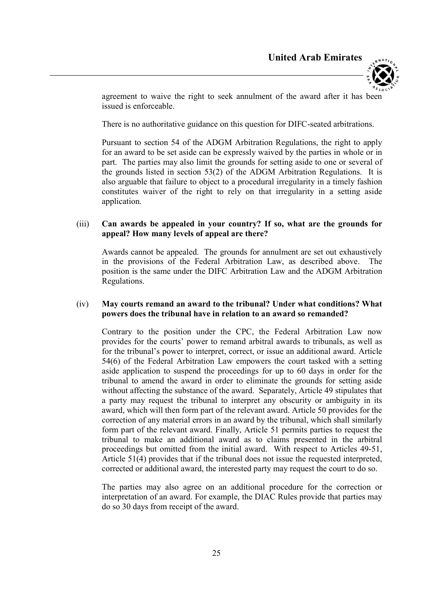

agreement to waive the right to seek annulment of the award after it has been issued is enforceable.

There is no authoritative guidance on this question for DIFC-seated arbitrations.

Pursuant to section 54 of the ADGM Arbitration Regulations, the right to apply for an award to be set aside can be expressly waived by the parties in whole or in part. The parties may also limit the grounds for setting aside to one or several of the grounds listed in section 53(2) of the ADGM Arbitration Regulations. It is also arguable that failure to object to a procedural irregularity in a timely fashion constitutes waiver of the right to rely on that irregularity in a setting aside application.

#### (iii) Can awards be appealed in your country? If so, what are the grounds for appeal? How many levels of appeal are there?

Awards cannot be appealed. The grounds for annulment are set out exhaustively in the provisions of the Federal Arbitration Law, as described above. The position is the same under the DIFC Arbitration Law and the ADGM Arbitration Regulations.

# (iv) May courts remand an award to the tribunal? Under what conditions? What powers does the tribunal have in relation to an award so remanded?

Contrary to the position under the CPC, the Federal Arbitration Law now provides for the courts' power to remand arbitral awards to tribunals, as well as for the tribunal's power to interpret, correct, or issue an additional award. Article 54(6) of the Federal Arbitration Law empowers the court tasked with a setting aside application to suspend the proceedings for up to 60 days in order for the tribunal to amend the award in order to eliminate the grounds for setting aside without affecting the substance of the award. Separately, Article 49 stipulates that a party may request the tribunal to interpret any obscurity or ambiguity in its award, which will then form part of the relevant award. Article 50 provides for the correction of any material errors in an award by the tribunal, which shall similarly form part of the relevant award. Finally, Article 51 permits parties to request the tribunal to make an additional award as to claims presented in the arbitral proceedings but omitted from the initial award. With respect to Articles 49-51, Article 51(4) provides that if the tribunal does not issue the requested interpreted, corrected or additional award, the interested party may request the court to do so.

The parties may also agree on an additional procedure for the correction or interpretation of an award. For example, the DIAC Rules provide that parties may do so 30 days from receipt of the award.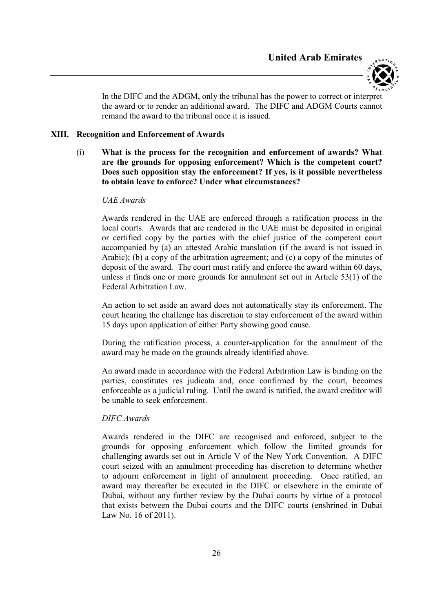

In the DIFC and the ADGM, only the tribunal has the power to correct or interpret the award or to render an additional award. The DIFC and ADGM Courts cannot remand the award to the tribunal once it is issued.

#### XIII. Recognition and Enforcement of Awards

(i) What is the process for the recognition and enforcement of awards? What are the grounds for opposing enforcement? Which is the competent court? Does such opposition stay the enforcement? If yes, is it possible nevertheless to obtain leave to enforce? Under what circumstances?

#### UAE Awards

Awards rendered in the UAE are enforced through a ratification process in the local courts. Awards that are rendered in the UAE must be deposited in original or certified copy by the parties with the chief justice of the competent court accompanied by (a) an attested Arabic translation (if the award is not issued in Arabic); (b) a copy of the arbitration agreement; and (c) a copy of the minutes of deposit of the award. The court must ratify and enforce the award within 60 days, unless it finds one or more grounds for annulment set out in Article 53(1) of the Federal Arbitration Law.

An action to set aside an award does not automatically stay its enforcement. The court hearing the challenge has discretion to stay enforcement of the award within 15 days upon application of either Party showing good cause.

During the ratification process, a counter-application for the annulment of the award may be made on the grounds already identified above.

An award made in accordance with the Federal Arbitration Law is binding on the parties, constitutes res judicata and, once confirmed by the court, becomes enforceable as a judicial ruling. Until the award is ratified, the award creditor will be unable to seek enforcement.

#### DIFC Awards

Awards rendered in the DIFC are recognised and enforced, subject to the grounds for opposing enforcement which follow the limited grounds for challenging awards set out in Article V of the New York Convention. A DIFC court seized with an annulment proceeding has discretion to determine whether to adjourn enforcement in light of annulment proceeding. Once ratified, an award may thereafter be executed in the DIFC or elsewhere in the emirate of Dubai, without any further review by the Dubai courts by virtue of a protocol that exists between the Dubai courts and the DIFC courts (enshrined in Dubai Law No. 16 of 2011).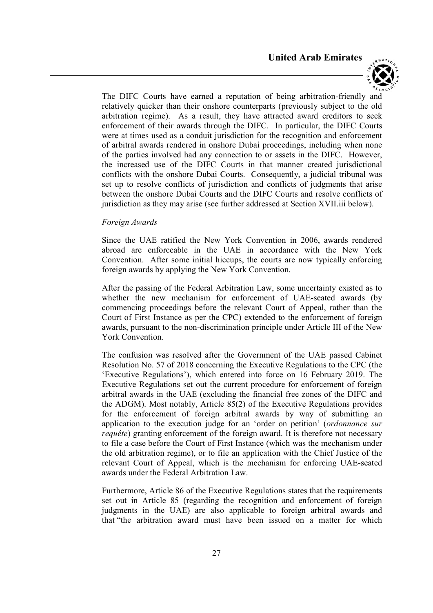

The DIFC Courts have earned a reputation of being arbitration-friendly and relatively quicker than their onshore counterparts (previously subject to the old arbitration regime). As a result, they have attracted award creditors to seek enforcement of their awards through the DIFC. In particular, the DIFC Courts were at times used as a conduit jurisdiction for the recognition and enforcement of arbitral awards rendered in onshore Dubai proceedings, including when none of the parties involved had any connection to or assets in the DIFC. However, the increased use of the DIFC Courts in that manner created jurisdictional conflicts with the onshore Dubai Courts. Consequently, a judicial tribunal was set up to resolve conflicts of jurisdiction and conflicts of judgments that arise between the onshore Dubai Courts and the DIFC Courts and resolve conflicts of jurisdiction as they may arise (see further addressed at Section XVII.iii below).

#### Foreign Awards

Since the UAE ratified the New York Convention in 2006, awards rendered abroad are enforceable in the UAE in accordance with the New York Convention. After some initial hiccups, the courts are now typically enforcing foreign awards by applying the New York Convention.

After the passing of the Federal Arbitration Law, some uncertainty existed as to whether the new mechanism for enforcement of UAE-seated awards (by commencing proceedings before the relevant Court of Appeal, rather than the Court of First Instance as per the CPC) extended to the enforcement of foreign awards, pursuant to the non-discrimination principle under Article III of the New York Convention.

The confusion was resolved after the Government of the UAE passed Cabinet Resolution No. 57 of 2018 concerning the Executive Regulations to the CPC (the 'Executive Regulations'), which entered into force on 16 February 2019. The Executive Regulations set out the current procedure for enforcement of foreign arbitral awards in the UAE (excluding the financial free zones of the DIFC and the ADGM). Most notably, Article 85(2) of the Executive Regulations provides for the enforcement of foreign arbitral awards by way of submitting an application to the execution judge for an 'order on petition' (ordonnance sur requête) granting enforcement of the foreign award. It is therefore not necessary to file a case before the Court of First Instance (which was the mechanism under the old arbitration regime), or to file an application with the Chief Justice of the relevant Court of Appeal, which is the mechanism for enforcing UAE-seated awards under the Federal Arbitration Law.

Furthermore, Article 86 of the Executive Regulations states that the requirements set out in Article 85 (regarding the recognition and enforcement of foreign judgments in the UAE) are also applicable to foreign arbitral awards and that "the arbitration award must have been issued on a matter for which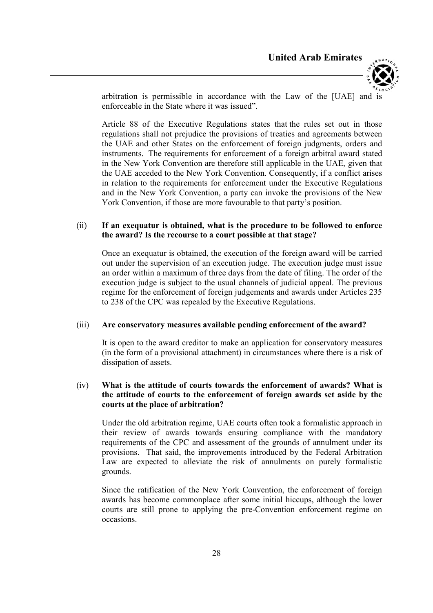

arbitration is permissible in accordance with the Law of the [UAE] and is enforceable in the State where it was issued".

Article 88 of the Executive Regulations states that the rules set out in those regulations shall not prejudice the provisions of treaties and agreements between the UAE and other States on the enforcement of foreign judgments, orders and instruments. The requirements for enforcement of a foreign arbitral award stated in the New York Convention are therefore still applicable in the UAE, given that the UAE acceded to the New York Convention. Consequently, if a conflict arises in relation to the requirements for enforcement under the Executive Regulations and in the New York Convention, a party can invoke the provisions of the New York Convention, if those are more favourable to that party's position.

#### (ii) If an exequatur is obtained, what is the procedure to be followed to enforce the award? Is the recourse to a court possible at that stage?

Once an exequatur is obtained, the execution of the foreign award will be carried out under the supervision of an execution judge. The execution judge must issue an order within a maximum of three days from the date of filing. The order of the execution judge is subject to the usual channels of judicial appeal. The previous regime for the enforcement of foreign judgements and awards under Articles 235 to 238 of the CPC was repealed by the Executive Regulations.

#### (iii) Are conservatory measures available pending enforcement of the award?

It is open to the award creditor to make an application for conservatory measures (in the form of a provisional attachment) in circumstances where there is a risk of dissipation of assets.

#### (iv) What is the attitude of courts towards the enforcement of awards? What is the attitude of courts to the enforcement of foreign awards set aside by the courts at the place of arbitration?

Under the old arbitration regime, UAE courts often took a formalistic approach in their review of awards towards ensuring compliance with the mandatory requirements of the CPC and assessment of the grounds of annulment under its provisions. That said, the improvements introduced by the Federal Arbitration Law are expected to alleviate the risk of annulments on purely formalistic grounds.

Since the ratification of the New York Convention, the enforcement of foreign awards has become commonplace after some initial hiccups, although the lower courts are still prone to applying the pre-Convention enforcement regime on occasions.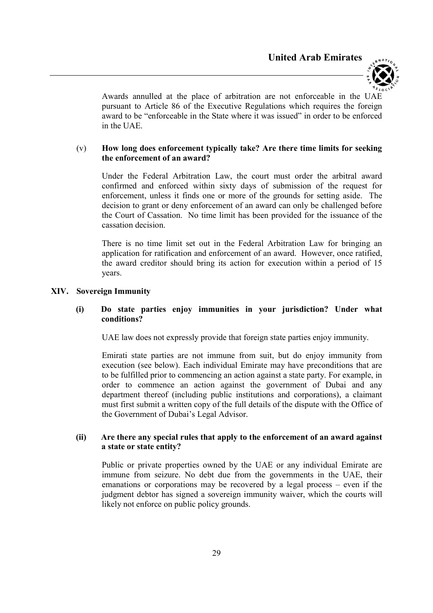

Awards annulled at the place of arbitration are not enforceable in the UAE pursuant to Article 86 of the Executive Regulations which requires the foreign award to be "enforceable in the State where it was issued" in order to be enforced in the UAE.

#### (v) How long does enforcement typically take? Are there time limits for seeking the enforcement of an award?

Under the Federal Arbitration Law, the court must order the arbitral award confirmed and enforced within sixty days of submission of the request for enforcement, unless it finds one or more of the grounds for setting aside. The decision to grant or deny enforcement of an award can only be challenged before the Court of Cassation. No time limit has been provided for the issuance of the cassation decision.

There is no time limit set out in the Federal Arbitration Law for bringing an application for ratification and enforcement of an award. However, once ratified, the award creditor should bring its action for execution within a period of 15 years.

#### XIV. Sovereign Immunity

# (i) Do state parties enjoy immunities in your jurisdiction? Under what conditions?

UAE law does not expressly provide that foreign state parties enjoy immunity.

Emirati state parties are not immune from suit, but do enjoy immunity from execution (see below). Each individual Emirate may have preconditions that are to be fulfilled prior to commencing an action against a state party. For example, in order to commence an action against the government of Dubai and any department thereof (including public institutions and corporations), a claimant must first submit a written copy of the full details of the dispute with the Office of the Government of Dubai's Legal Advisor.

# (ii) Are there any special rules that apply to the enforcement of an award against a state or state entity?

Public or private properties owned by the UAE or any individual Emirate are immune from seizure. No debt due from the governments in the UAE, their emanations or corporations may be recovered by a legal process – even if the judgment debtor has signed a sovereign immunity waiver, which the courts will likely not enforce on public policy grounds.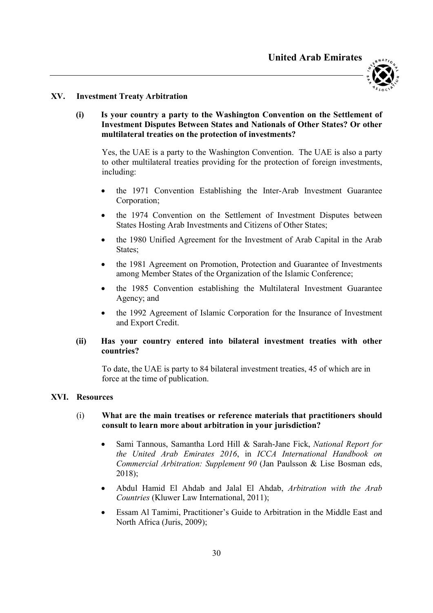

#### XV. Investment Treaty Arbitration

# (i) Is your country a party to the Washington Convention on the Settlement of Investment Disputes Between States and Nationals of Other States? Or other multilateral treaties on the protection of investments?

Yes, the UAE is a party to the Washington Convention. The UAE is also a party to other multilateral treaties providing for the protection of foreign investments, including:

- the 1971 Convention Establishing the Inter-Arab Investment Guarantee Corporation;
- the 1974 Convention on the Settlement of Investment Disputes between States Hosting Arab Investments and Citizens of Other States;
- the 1980 Unified Agreement for the Investment of Arab Capital in the Arab States;
- the 1981 Agreement on Promotion, Protection and Guarantee of Investments among Member States of the Organization of the Islamic Conference;
- the 1985 Convention establishing the Multilateral Investment Guarantee Agency; and
- the 1992 Agreement of Islamic Corporation for the Insurance of Investment and Export Credit.

#### (ii) Has your country entered into bilateral investment treaties with other countries?

To date, the UAE is party to 84 bilateral investment treaties, 45 of which are in force at the time of publication.

#### XVI. Resources

#### (i) What are the main treatises or reference materials that practitioners should consult to learn more about arbitration in your jurisdiction?

- Sami Tannous, Samantha Lord Hill & Sarah-Jane Fick, National Report for the United Arab Emirates 2016, in ICCA International Handbook on Commercial Arbitration: Supplement 90 (Jan Paulsson & Lise Bosman eds, 2018);
- Abdul Hamid El Ahdab and Jalal El Ahdab, Arbitration with the Arab Countries (Kluwer Law International, 2011);
- Essam Al Tamimi, Practitioner's Guide to Arbitration in the Middle East and North Africa (Juris, 2009);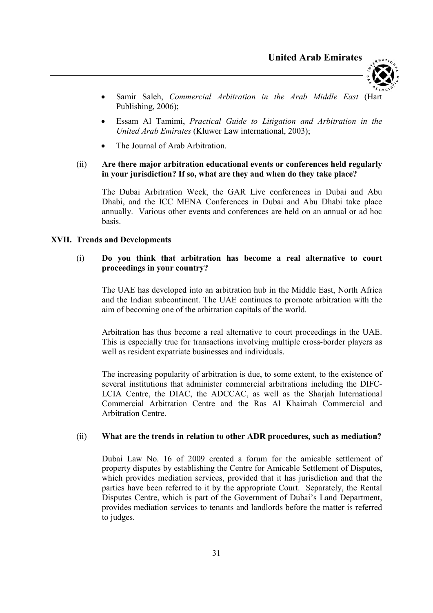

- Samir Saleh, Commercial Arbitration in the Arab Middle East (Hart Publishing, 2006);
- Essam Al Tamimi, Practical Guide to Litigation and Arbitration in the United Arab Emirates (Kluwer Law international, 2003);
- The Journal of Arab Arbitration.

# (ii) Are there major arbitration educational events or conferences held regularly in your jurisdiction? If so, what are they and when do they take place?

The Dubai Arbitration Week, the GAR Live conferences in Dubai and Abu Dhabi, and the ICC MENA Conferences in Dubai and Abu Dhabi take place annually. Various other events and conferences are held on an annual or ad hoc basis.

# XVII. Trends and Developments

# (i) Do you think that arbitration has become a real alternative to court proceedings in your country?

The UAE has developed into an arbitration hub in the Middle East, North Africa and the Indian subcontinent. The UAE continues to promote arbitration with the aim of becoming one of the arbitration capitals of the world.

Arbitration has thus become a real alternative to court proceedings in the UAE. This is especially true for transactions involving multiple cross-border players as well as resident expatriate businesses and individuals.

The increasing popularity of arbitration is due, to some extent, to the existence of several institutions that administer commercial arbitrations including the DIFC-LCIA Centre, the DIAC, the ADCCAC, as well as the Sharjah International Commercial Arbitration Centre and the Ras Al Khaimah Commercial and Arbitration Centre.

#### (ii) What are the trends in relation to other ADR procedures, such as mediation?

Dubai Law No. 16 of 2009 created a forum for the amicable settlement of property disputes by establishing the Centre for Amicable Settlement of Disputes, which provides mediation services, provided that it has jurisdiction and that the parties have been referred to it by the appropriate Court. Separately, the Rental Disputes Centre, which is part of the Government of Dubai's Land Department, provides mediation services to tenants and landlords before the matter is referred to judges.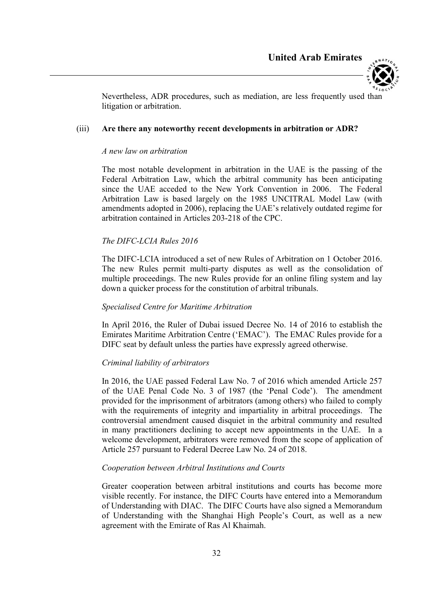



Nevertheless, ADR procedures, such as mediation, are less frequently used than litigation or arbitration.

#### (iii) Are there any noteworthy recent developments in arbitration or ADR?

#### A new law on arbitration

The most notable development in arbitration in the UAE is the passing of the Federal Arbitration Law, which the arbitral community has been anticipating since the UAE acceded to the New York Convention in 2006. The Federal Arbitration Law is based largely on the 1985 UNCITRAL Model Law (with amendments adopted in 2006), replacing the UAE's relatively outdated regime for arbitration contained in Articles 203-218 of the CPC.

# The DIFC-LCIA Rules 2016

The DIFC-LCIA introduced a set of new Rules of Arbitration on 1 October 2016. The new Rules permit multi-party disputes as well as the consolidation of multiple proceedings. The new Rules provide for an online filing system and lay down a quicker process for the constitution of arbitral tribunals.

#### Specialised Centre for Maritime Arbitration

In April 2016, the Ruler of Dubai issued Decree No. 14 of 2016 to establish the Emirates Maritime Arbitration Centre ('EMAC'). The EMAC Rules provide for a DIFC seat by default unless the parties have expressly agreed otherwise.

#### Criminal liability of arbitrators

In 2016, the UAE passed Federal Law No. 7 of 2016 which amended Article 257 of the UAE Penal Code No. 3 of 1987 (the 'Penal Code'). The amendment provided for the imprisonment of arbitrators (among others) who failed to comply with the requirements of integrity and impartiality in arbitral proceedings. The controversial amendment caused disquiet in the arbitral community and resulted in many practitioners declining to accept new appointments in the UAE. In a welcome development, arbitrators were removed from the scope of application of Article 257 pursuant to Federal Decree Law No. 24 of 2018.

#### Cooperation between Arbitral Institutions and Courts

Greater cooperation between arbitral institutions and courts has become more visible recently. For instance, the DIFC Courts have entered into a Memorandum of Understanding with DIAC. The DIFC Courts have also signed a Memorandum of Understanding with the Shanghai High People's Court, as well as a new agreement with the Emirate of Ras Al Khaimah.